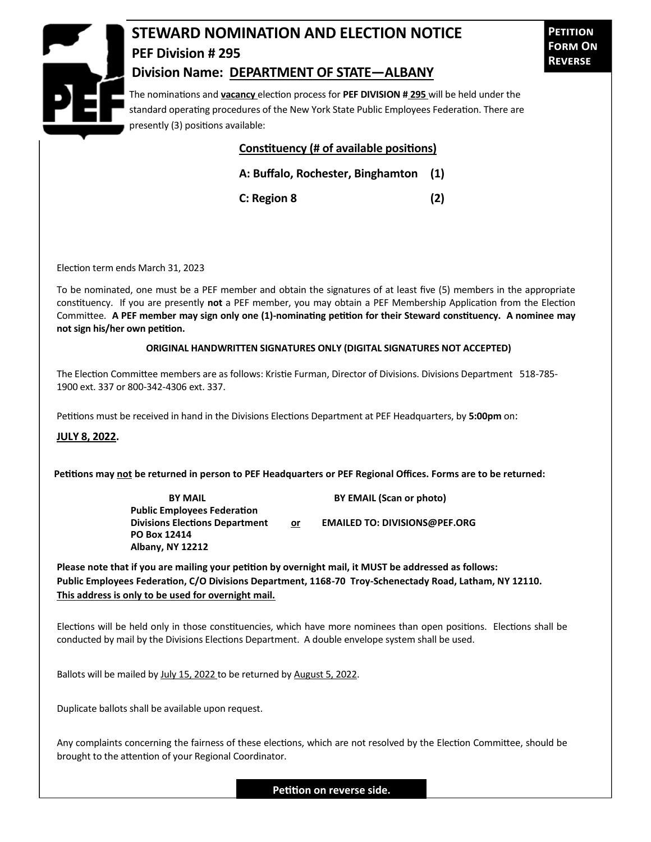

## **STEWARD NOMINATION AND ELECTION NOTICE PEF Division # 295 Division Name: DEPARTMENT OF STATE—ALBANY**

The nominations and **vacancy** election process for **PEF DIVISION # 295** will be held under the standard operating procedures of the New York State Public Employees Federation. There are presently (3) positions available:

## **Constituency (# of available positions)**

**A: Buffalo, Rochester, Binghamton (1)**

**C: Region 8 (2)**

Election term ends March 31, 2023

To be nominated, one must be a PEF member and obtain the signatures of at least five (5) members in the appropriate constituency. If you are presently **not** a PEF member, you may obtain a PEF Membership Application from the Election Committee. **A PEF member may sign only one (1)-nominating petition for their Steward constituency. A nominee may not sign his/her own petition.**

## **ORIGINAL HANDWRITTEN SIGNATURES ONLY (DIGITAL SIGNATURES NOT ACCEPTED)**

The Election Committee members are as follows: Kristie Furman, Director of Divisions. Divisions Department 518-785- 1900 ext. 337 or 800-342-4306 ext. 337.

Petitions must be received in hand in the Divisions Elections Department at PEF Headquarters, by **5:00pm** on:

**JULY 8, 2022.**

**Petitions may not be returned in person to PEF Headquarters or PEF Regional Offices. Forms are to be returned:**

**Public Employees Federation PO Box 12414 Albany, NY 12212**

**BY MAIL BY EMAIL (Scan or photo)** 

**Divisions Elections Department or EMAILED TO: DIVISIONS@PEF.ORG**

**Please note that if you are mailing your petition by overnight mail, it MUST be addressed as follows: Public Employees Federation, C/O Divisions Department, 1168-70 Troy-Schenectady Road, Latham, NY 12110. This address is only to be used for overnight mail.**

Elections will be held only in those constituencies, which have more nominees than open positions. Elections shall be conducted by mail by the Divisions Elections Department. A double envelope system shall be used.

Ballots will be mailed by July 15, 2022 to be returned by August 5, 2022.

Duplicate ballots shall be available upon request.

Any complaints concerning the fairness of these elections, which are not resolved by the Election Committee, should be brought to the attention of your Regional Coordinator.

**Petition on reverse side.**